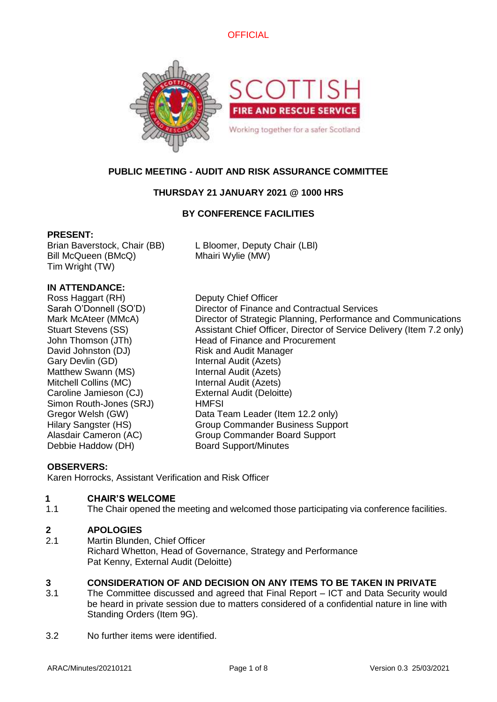



# **PUBLIC MEETING - AUDIT AND RISK ASSURANCE COMMITTEE**

# **THURSDAY 21 JANUARY 2021 @ 1000 HRS**

# **BY CONFERENCE FACILITIES**

### **PRESENT:**

Brian Baverstock, Chair (BB) L Bloomer, Deputy Chair (LBl) Bill McQueen (BMcQ) Mhairi Wylie (MW) Tim Wright (TW)

## **IN ATTENDANCE:**

Ross Haggart (RH) Deputy Chief Officer David Johnston (DJ) Risk and Audit Manager Gary Devlin (GD) Internal Audit (Azets) Matthew Swann (MS) Internal Audit (Azets) Mitchell Collins (MC) Internal Audit (Azets) Caroline Jamieson (CJ) External Audit (Deloitte) Simon Routh-Jones (SRJ) HMFSI Debbie Haddow (DH) Board Support/Minutes

Sarah O'Donnell (SO'D) Director of Finance and Contractual Services Mark McAteer (MMcA) Director of Strategic Planning, Performance and Communications Stuart Stevens (SS) Assistant Chief Officer, Director of Service Delivery (Item 7.2 only) John Thomson (JTh) Head of Finance and Procurement Gregor Welsh (GW) Data Team Leader (Item 12.2 only) Hilary Sangster (HS) Group Commander Business Support Alasdair Cameron (AC) Group Commander Board Support

# **OBSERVERS:**

Karen Horrocks, Assistant Verification and Risk Officer

# **1 CHAIR'S WELCOME**

1.1 The Chair opened the meeting and welcomed those participating via conference facilities.

### **2 APOLOGIES**

2.1 Martin Blunden, Chief Officer Richard Whetton, Head of Governance, Strategy and Performance Pat Kenny, External Audit (Deloitte)

# **3 CONSIDERATION OF AND DECISION ON ANY ITEMS TO BE TAKEN IN PRIVATE**

- 3.1 The Committee discussed and agreed that Final Report – ICT and Data Security would be heard in private session due to matters considered of a confidential nature in line with Standing Orders (Item 9G).
- 3.2 No further items were identified.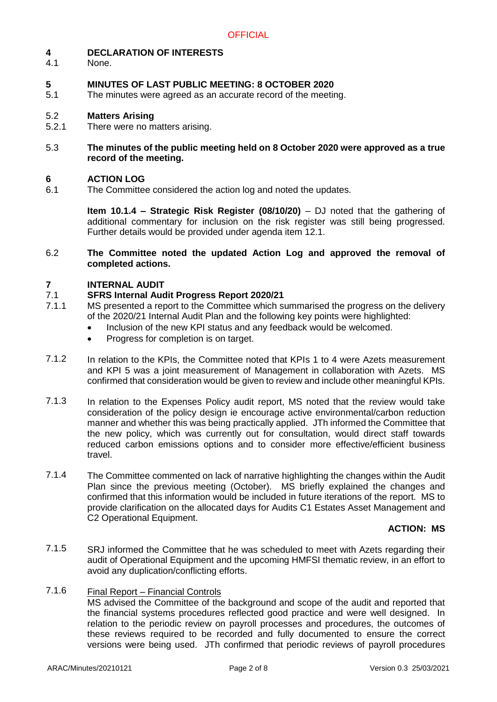#### **4 DECLARATION OF INTERESTS**

4.1 None.

### **5 MINUTES OF LAST PUBLIC MEETING: 8 OCTOBER 2020**

5.1 The minutes were agreed as an accurate record of the meeting.

#### 5.2 **Matters Arising**

5.2.1 There were no matters arising.

### 5.3 **The minutes of the public meeting held on 8 October 2020 were approved as a true record of the meeting.**

#### **6 ACTION LOG**

6.1 The Committee considered the action log and noted the updates.

> **Item 10.1.4 – Strategic Risk Register (08/10/20)** – DJ noted that the gathering of additional commentary for inclusion on the risk register was still being progressed. Further details would be provided under agenda item 12.1.

6.2 **The Committee noted the updated Action Log and approved the removal of completed actions.**

#### **7 INTERNAL AUDIT**

#### 7.1 **SFRS Internal Audit Progress Report 2020/21**

- 7.1.1 MS presented a report to the Committee which summarised the progress on the delivery of the 2020/21 Internal Audit Plan and the following key points were highlighted:
	- Inclusion of the new KPI status and any feedback would be welcomed.
	- Progress for completion is on target.
- 7.1.2 In relation to the KPIs, the Committee noted that KPIs 1 to 4 were Azets measurement and KPI 5 was a joint measurement of Management in collaboration with Azets. MS confirmed that consideration would be given to review and include other meaningful KPIs.
- 7.1.3 In relation to the Expenses Policy audit report, MS noted that the review would take consideration of the policy design ie encourage active environmental/carbon reduction manner and whether this was being practically applied. JTh informed the Committee that the new policy, which was currently out for consultation, would direct staff towards reduced carbon emissions options and to consider more effective/efficient business travel.
- 7.1.4 The Committee commented on lack of narrative highlighting the changes within the Audit Plan since the previous meeting (October). MS briefly explained the changes and confirmed that this information would be included in future iterations of the report. MS to provide clarification on the allocated days for Audits C1 Estates Asset Management and C2 Operational Equipment.

### **ACTION: MS**

7.1.5 SRJ informed the Committee that he was scheduled to meet with Azets regarding their audit of Operational Equipment and the upcoming HMFSI thematic review, in an effort to avoid any duplication/conflicting efforts.

#### 7.1.6 Final Report – Financial Controls

MS advised the Committee of the background and scope of the audit and reported that the financial systems procedures reflected good practice and were well designed. In relation to the periodic review on payroll processes and procedures, the outcomes of these reviews required to be recorded and fully documented to ensure the correct versions were being used. JTh confirmed that periodic reviews of payroll procedures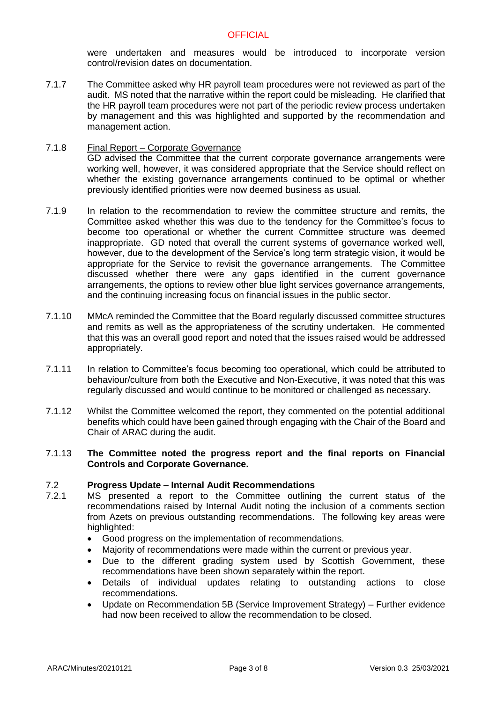were undertaken and measures would be introduced to incorporate version control/revision dates on documentation.

7.1.7 The Committee asked why HR payroll team procedures were not reviewed as part of the audit. MS noted that the narrative within the report could be misleading. He clarified that the HR payroll team procedures were not part of the periodic review process undertaken by management and this was highlighted and supported by the recommendation and management action.

### 7.1.8 Final Report – Corporate Governance GD advised the Committee that the current corporate governance arrangements were working well, however, it was considered appropriate that the Service should reflect on whether the existing governance arrangements continued to be optimal or whether previously identified priorities were now deemed business as usual.

- 7.1.9 In relation to the recommendation to review the committee structure and remits, the Committee asked whether this was due to the tendency for the Committee's focus to become too operational or whether the current Committee structure was deemed inappropriate. GD noted that overall the current systems of governance worked well, however, due to the development of the Service's long term strategic vision, it would be appropriate for the Service to revisit the governance arrangements. The Committee discussed whether there were any gaps identified in the current governance arrangements, the options to review other blue light services governance arrangements, and the continuing increasing focus on financial issues in the public sector.
- 7.1.10 MMcA reminded the Committee that the Board regularly discussed committee structures and remits as well as the appropriateness of the scrutiny undertaken. He commented that this was an overall good report and noted that the issues raised would be addressed appropriately.
- 7.1.11 In relation to Committee's focus becoming too operational, which could be attributed to behaviour/culture from both the Executive and Non-Executive, it was noted that this was regularly discussed and would continue to be monitored or challenged as necessary.
- 7.1.12 Whilst the Committee welcomed the report, they commented on the potential additional benefits which could have been gained through engaging with the Chair of the Board and Chair of ARAC during the audit.

### 7.1.13 **The Committee noted the progress report and the final reports on Financial Controls and Corporate Governance.**

#### 7.2 **Progress Update – Internal Audit Recommendations**

- 7.2.1 MS presented a report to the Committee outlining the current status of the recommendations raised by Internal Audit noting the inclusion of a comments section from Azets on previous outstanding recommendations. The following key areas were highlighted:
	- Good progress on the implementation of recommendations.
	- Majority of recommendations were made within the current or previous year.
	- Due to the different grading system used by Scottish Government, these recommendations have been shown separately within the report.
	- Details of individual updates relating to outstanding actions to close recommendations.
	- Update on Recommendation 5B (Service Improvement Strategy) Further evidence had now been received to allow the recommendation to be closed.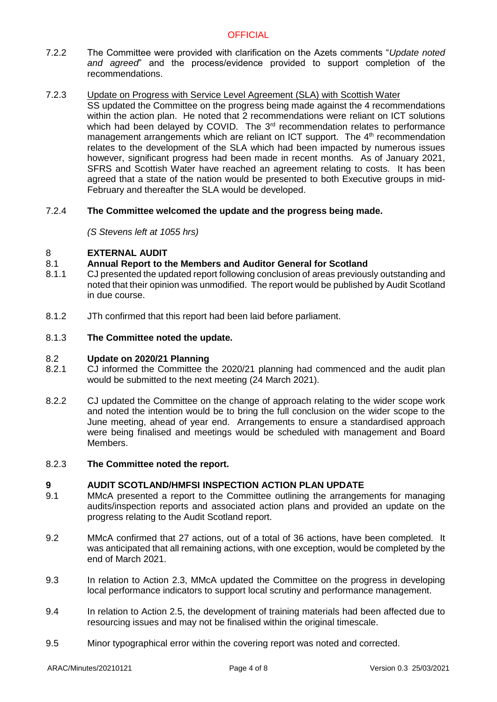# **OFFICIAL**

- 7.2.2 The Committee were provided with clarification on the Azets comments "*Update noted and agreed*" and the process/evidence provided to support completion of the recommendations.
- 7.2.3 Update on Progress with Service Level Agreement (SLA) with Scottish Water
	- SS updated the Committee on the progress being made against the 4 recommendations within the action plan. He noted that 2 recommendations were reliant on ICT solutions which had been delayed by COVID. The 3<sup>rd</sup> recommendation relates to performance management arrangements which are reliant on ICT support. The 4<sup>th</sup> recommendation relates to the development of the SLA which had been impacted by numerous issues however, significant progress had been made in recent months. As of January 2021, SFRS and Scottish Water have reached an agreement relating to costs. It has been agreed that a state of the nation would be presented to both Executive groups in mid-February and thereafter the SLA would be developed.

#### 7.2.4 **The Committee welcomed the update and the progress being made.**

*(S Stevens left at 1055 hrs)*

#### 8 **EXTERNAL AUDIT**

#### 8.1 **Annual Report to the Members and Auditor General for Scotland**

- 8.1.1 CJ presented the updated report following conclusion of areas previously outstanding and noted that their opinion was unmodified. The report would be published by Audit Scotland in due course.
- 8.1.2 JTh confirmed that this report had been laid before parliament.

#### 8.1.3 **The Committee noted the update.**

#### 8.2 **Update on 2020/21 Planning**

- 8.2.1 CJ informed the Committee the 2020/21 planning had commenced and the audit plan would be submitted to the next meeting (24 March 2021).
- 8.2.2 CJ updated the Committee on the change of approach relating to the wider scope work and noted the intention would be to bring the full conclusion on the wider scope to the June meeting, ahead of year end. Arrangements to ensure a standardised approach were being finalised and meetings would be scheduled with management and Board Members.

#### 8.2.3 **The Committee noted the report.**

#### **9 AUDIT SCOTLAND/HMFSI INSPECTION ACTION PLAN UPDATE**

- 9.1 MMcA presented a report to the Committee outlining the arrangements for managing audits/inspection reports and associated action plans and provided an update on the progress relating to the Audit Scotland report.
- 9.2 MMcA confirmed that 27 actions, out of a total of 36 actions, have been completed. It was anticipated that all remaining actions, with one exception, would be completed by the end of March 2021.
- 9.3 In relation to Action 2.3, MMcA updated the Committee on the progress in developing local performance indicators to support local scrutiny and performance management.
- 9.4 In relation to Action 2.5, the development of training materials had been affected due to resourcing issues and may not be finalised within the original timescale.
- 9.5 Minor typographical error within the covering report was noted and corrected.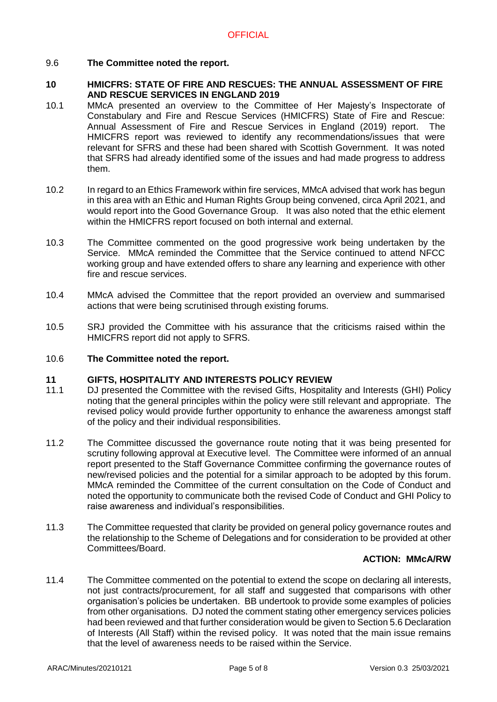### 9.6 **The Committee noted the report.**

### **10 HMICFRS: STATE OF FIRE AND RESCUES: THE ANNUAL ASSESSMENT OF FIRE AND RESCUE SERVICES IN ENGLAND 2019**

- 10.1 MMcA presented an overview to the Committee of Her Majesty's Inspectorate of Constabulary and Fire and Rescue Services (HMICFRS) State of Fire and Rescue: Annual Assessment of Fire and Rescue Services in England (2019) report. The HMICFRS report was reviewed to identify any recommendations/issues that were relevant for SFRS and these had been shared with Scottish Government. It was noted that SFRS had already identified some of the issues and had made progress to address them.
- 10.2 In regard to an Ethics Framework within fire services, MMcA advised that work has begun in this area with an Ethic and Human Rights Group being convened, circa April 2021, and would report into the Good Governance Group. It was also noted that the ethic element within the HMICFRS report focused on both internal and external.
- 10.3 The Committee commented on the good progressive work being undertaken by the Service. MMcA reminded the Committee that the Service continued to attend NFCC working group and have extended offers to share any learning and experience with other fire and rescue services.
- 10.4 MMcA advised the Committee that the report provided an overview and summarised actions that were being scrutinised through existing forums.
- 10.5 SRJ provided the Committee with his assurance that the criticisms raised within the HMICFRS report did not apply to SFRS.

#### 10.6 **The Committee noted the report.**

#### **11 GIFTS, HOSPITALITY AND INTERESTS POLICY REVIEW**

- 11.1 DJ presented the Committee with the revised Gifts, Hospitality and Interests (GHI) Policy noting that the general principles within the policy were still relevant and appropriate. The revised policy would provide further opportunity to enhance the awareness amongst staff of the policy and their individual responsibilities.
- 11.2 The Committee discussed the governance route noting that it was being presented for scrutiny following approval at Executive level. The Committee were informed of an annual report presented to the Staff Governance Committee confirming the governance routes of new/revised policies and the potential for a similar approach to be adopted by this forum. MMcA reminded the Committee of the current consultation on the Code of Conduct and noted the opportunity to communicate both the revised Code of Conduct and GHI Policy to raise awareness and individual's responsibilities.
- 11.3 The Committee requested that clarity be provided on general policy governance routes and the relationship to the Scheme of Delegations and for consideration to be provided at other Committees/Board.

### **ACTION: MMcA/RW**

11.4 The Committee commented on the potential to extend the scope on declaring all interests, not just contracts/procurement, for all staff and suggested that comparisons with other organisation's policies be undertaken. BB undertook to provide some examples of policies from other organisations. DJ noted the comment stating other emergency services policies had been reviewed and that further consideration would be given to Section 5.6 Declaration of Interests (All Staff) within the revised policy. It was noted that the main issue remains that the level of awareness needs to be raised within the Service.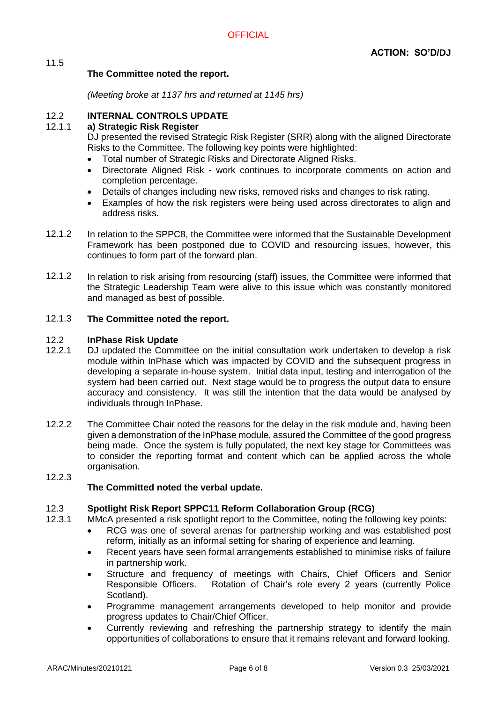# **The Committee noted the report.**

*(Meeting broke at 1137 hrs and returned at 1145 hrs)*

#### 12.2 **INTERNAL CONTROLS UPDATE**

#### 12.1.1 **a) Strategic Risk Register**

DJ presented the revised Strategic Risk Register (SRR) along with the aligned Directorate Risks to the Committee. The following key points were highlighted:

- Total number of Strategic Risks and Directorate Aligned Risks.
- Directorate Aligned Risk work continues to incorporate comments on action and completion percentage.
- Details of changes including new risks, removed risks and changes to risk rating.
- Examples of how the risk registers were being used across directorates to align and address risks.
- 12.1.2 In relation to the SPPC8, the Committee were informed that the Sustainable Development Framework has been postponed due to COVID and resourcing issues, however, this continues to form part of the forward plan.
- 12.1.2 In relation to risk arising from resourcing (staff) issues, the Committee were informed that the Strategic Leadership Team were alive to this issue which was constantly monitored and managed as best of possible.

#### 12.1.3 **The Committee noted the report.**

#### 12.2 **InPhase Risk Update**

- 12.2.1 DJ updated the Committee on the initial consultation work undertaken to develop a risk module within InPhase which was impacted by COVID and the subsequent progress in developing a separate in-house system. Initial data input, testing and interrogation of the system had been carried out. Next stage would be to progress the output data to ensure accuracy and consistency. It was still the intention that the data would be analysed by individuals through InPhase.
- 12.2.2 The Committee Chair noted the reasons for the delay in the risk module and, having been given a demonstration of the InPhase module, assured the Committee of the good progress being made. Once the system is fully populated, the next key stage for Committees was to consider the reporting format and content which can be applied across the whole organisation.
- 12.2.3

11.5

# **The Committed noted the verbal update.**

#### 12.3 **Spotlight Risk Report SPPC11 Reform Collaboration Group (RCG)**

- 12.3.1 MMcA presented a risk spotlight report to the Committee, noting the following key points:
	- RCG was one of several arenas for partnership working and was established post reform, initially as an informal setting for sharing of experience and learning.
	- Recent years have seen formal arrangements established to minimise risks of failure in partnership work.
	- Structure and frequency of meetings with Chairs, Chief Officers and Senior Responsible Officers. Rotation of Chair's role every 2 years (currently Police Scotland).
	- Programme management arrangements developed to help monitor and provide progress updates to Chair/Chief Officer.
	- Currently reviewing and refreshing the partnership strategy to identify the main opportunities of collaborations to ensure that it remains relevant and forward looking.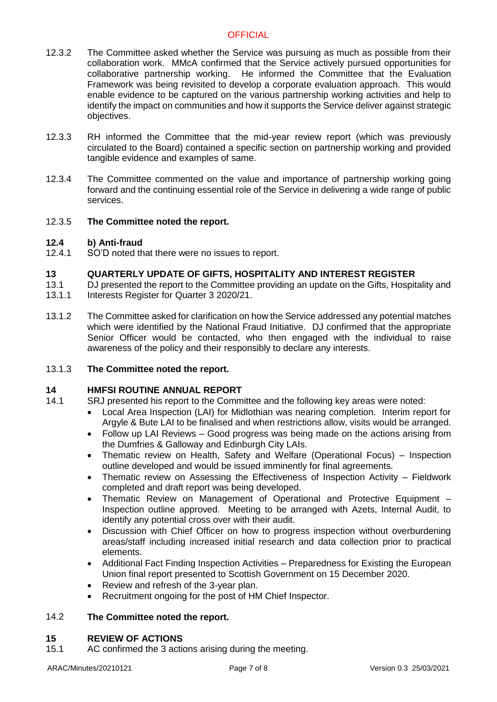# **OFFICIAL**

- 12.3.2 The Committee asked whether the Service was pursuing as much as possible from their collaboration work. MMcA confirmed that the Service actively pursued opportunities for collaborative partnership working. He informed the Committee that the Evaluation Framework was being revisited to develop a corporate evaluation approach. This would enable evidence to be captured on the various partnership working activities and help to identify the impact on communities and how it supports the Service deliver against strategic objectives.
- 12.3.3 RH informed the Committee that the mid-year review report (which was previously circulated to the Board) contained a specific section on partnership working and provided tangible evidence and examples of same.
- 12.3.4 The Committee commented on the value and importance of partnership working going forward and the continuing essential role of the Service in delivering a wide range of public services.
- 12.3.5 **The Committee noted the report.**

#### **12.4 b) Anti-fraud**

12.4.1 SO'D noted that there were no issues to report.

#### **13 QUARTERLY UPDATE OF GIFTS, HOSPITALITY AND INTEREST REGISTER**

- 13.1 13.1.1 DJ presented the report to the Committee providing an update on the Gifts, Hospitality and Interests Register for Quarter 3 2020/21.
- 13.1.2 The Committee asked for clarification on how the Service addressed any potential matches which were identified by the National Fraud Initiative. DJ confirmed that the appropriate Senior Officer would be contacted, who then engaged with the individual to raise awareness of the policy and their responsibly to declare any interests.

#### 13.1.3 **The Committee noted the report.**

#### **14 HMFSI ROUTINE ANNUAL REPORT**

- 14.1 SRJ presented his report to the Committee and the following key areas were noted:
	- Local Area Inspection (LAI) for Midlothian was nearing completion. Interim report for Argyle & Bute LAI to be finalised and when restrictions allow, visits would be arranged.
	- Follow up LAI Reviews Good progress was being made on the actions arising from the Dumfries & Galloway and Edinburgh City LAIs.
	- Thematic review on Health, Safety and Welfare (Operational Focus) Inspection outline developed and would be issued imminently for final agreements.
	- Thematic review on Assessing the Effectiveness of Inspection Activity Fieldwork completed and draft report was being developed.
	- Thematic Review on Management of Operational and Protective Equipment Inspection outline approved. Meeting to be arranged with Azets, Internal Audit, to identify any potential cross over with their audit.
	- Discussion with Chief Officer on how to progress inspection without overburdening areas/staff including increased initial research and data collection prior to practical elements.
	- Additional Fact Finding Inspection Activities Preparedness for Existing the European Union final report presented to Scottish Government on 15 December 2020.
	- Review and refresh of the 3-year plan.
	- Recruitment ongoing for the post of HM Chief Inspector.

#### 14.2 **The Committee noted the report.**

#### **15 REVIEW OF ACTIONS**

15.1 AC confirmed the 3 actions arising during the meeting.